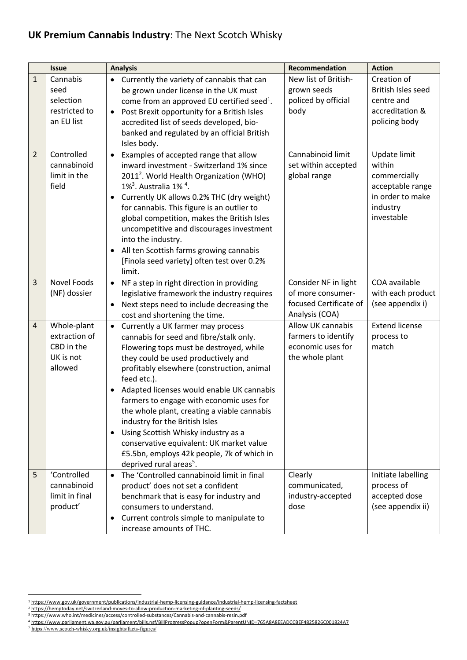## **UK Premium Cannabis Industry**: The Next Scotch Whisky

|                | <b>Issue</b>                                                       | <b>Analysis</b>                                                                                                                                                                                                                                                                                                                                                                                                                                                                                                                                                                                                      | <b>Recommendation</b>                                                                 | <b>Action</b>                                                                                            |
|----------------|--------------------------------------------------------------------|----------------------------------------------------------------------------------------------------------------------------------------------------------------------------------------------------------------------------------------------------------------------------------------------------------------------------------------------------------------------------------------------------------------------------------------------------------------------------------------------------------------------------------------------------------------------------------------------------------------------|---------------------------------------------------------------------------------------|----------------------------------------------------------------------------------------------------------|
| $\mathbf{1}$   | Cannabis<br>seed<br>selection<br>restricted to<br>an EU list       | Currently the variety of cannabis that can<br>$\bullet$<br>be grown under license in the UK must<br>come from an approved EU certified seed <sup>1</sup> .<br>Post Brexit opportunity for a British Isles<br>$\bullet$<br>accredited list of seeds developed, bio-<br>banked and regulated by an official British<br>Isles body.                                                                                                                                                                                                                                                                                     | New list of British-<br>grown seeds<br>policed by official<br>body                    | Creation of<br>British Isles seed<br>centre and<br>accreditation &<br>policing body                      |
| $\overline{2}$ | Controlled<br>cannabinoid<br>limit in the<br>field                 | Examples of accepted range that allow<br>$\bullet$<br>inward investment - Switzerland 1% since<br>2011 <sup>2</sup> . World Health Organization (WHO)<br>$1\%$ <sup>3</sup> . Australia $1\%$ <sup>4</sup> .<br>Currently UK allows 0.2% THC (dry weight)<br>$\bullet$<br>for cannabis. This figure is an outlier to<br>global competition, makes the British Isles<br>uncompetitive and discourages investment<br>into the industry.<br>All ten Scottish farms growing cannabis<br>$\bullet$<br>[Finola seed variety] often test over 0.2%<br>limit.                                                                | Cannabinoid limit<br>set within accepted<br>global range                              | Update limit<br>within<br>commercially<br>acceptable range<br>in order to make<br>industry<br>investable |
| $\overline{3}$ | Novel Foods<br>(NF) dossier                                        | NF a step in right direction in providing<br>$\bullet$<br>legislative framework the industry requires<br>Next steps need to include decreasing the<br>$\bullet$<br>cost and shortening the time.                                                                                                                                                                                                                                                                                                                                                                                                                     | Consider NF in light<br>of more consumer-<br>focused Certificate of<br>Analysis (COA) | COA available<br>with each product<br>(see appendix i)                                                   |
| $\overline{4}$ | Whole-plant<br>extraction of<br>CBD in the<br>UK is not<br>allowed | Currently a UK farmer may process<br>$\bullet$<br>cannabis for seed and fibre/stalk only.<br>Flowering tops must be destroyed, while<br>they could be used productively and<br>profitably elsewhere (construction, animal<br>feed etc.).<br>Adapted licenses would enable UK cannabis<br>$\bullet$<br>farmers to engage with economic uses for<br>the whole plant, creating a viable cannabis<br>industry for the British Isles<br>Using Scottish Whisky industry as a<br>$\bullet$<br>conservative equivalent: UK market value<br>£5.5bn, employs 42k people, 7k of which in<br>deprived rural areas <sup>5</sup> . | Allow UK cannabis<br>farmers to identify<br>economic uses for<br>the whole plant      | <b>Extend license</b><br>process to<br>match                                                             |
| 5              | 'Controlled<br>cannabinoid<br>limit in final<br>product'           | The 'Controlled cannabinoid limit in final<br>$\bullet$<br>product' does not set a confident<br>benchmark that is easy for industry and<br>consumers to understand.<br>Current controls simple to manipulate to<br>$\bullet$<br>increase amounts of THC.                                                                                                                                                                                                                                                                                                                                                             | Clearly<br>communicated,<br>industry-accepted<br>dose                                 | Initiate labelling<br>process of<br>accepted dose<br>(see appendix ii)                                   |

<sup>1</sup> https://www.gov.uk/government/publications/industrial-hemp-licensing-guidance/industrial-hemp-licensing-factsheet

<sup>2</sup> https://hemptoday.net/switzerland-moves-to-allow-production-marketing-of-planting-seeds/

<sup>3</sup> https://www.who.int/medicines/access/controlled-substances/Cannabis-and-cannabis-resin.pdf

<sup>4</sup> https://www.parliament.wa.gov.au/parliament/bills.nsf/BillProgressPopup?openForm&ParentUNID=765A8A8EEADCCBEF4825826C001824A7

<sup>5</sup> https://www.scotch-whisky.org.uk/insights/facts-figures/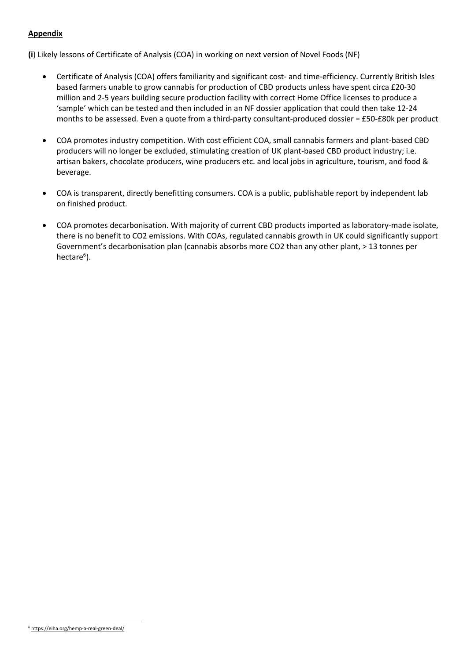## **Appendix**

**(i**) Likely lessons of Certificate of Analysis (COA) in working on next version of Novel Foods (NF)

- Certificate of Analysis (COA) offers familiarity and significant cost- and time-efficiency. Currently British Isles based farmers unable to grow cannabis for production of CBD products unless have spent circa £20-30 million and 2-5 years building secure production facility with correct Home Office licenses to produce a 'sample' which can be tested and then included in an NF dossier application that could then take 12-24 months to be assessed. Even a quote from a third-party consultant-produced dossier = £50-£80k per product
- COA promotes industry competition. With cost efficient COA, small cannabis farmers and plant-based CBD producers will no longer be excluded, stimulating creation of UK plant-based CBD product industry; i.e. artisan bakers, chocolate producers, wine producers etc. and local jobs in agriculture, tourism, and food & beverage.
- COA is transparent, directly benefitting consumers. COA is a public, publishable report by independent lab on finished product.
- COA promotes decarbonisation. With majority of current CBD products imported as laboratory-made isolate, there is no benefit to CO2 emissions. With COAs, regulated cannabis growth in UK could significantly support Government's decarbonisation plan (cannabis absorbs more CO2 than any other plant, > 13 tonnes per hectare<sup>6</sup>).

<sup>6</sup> https://eiha.org/hemp-a-real-green-deal/